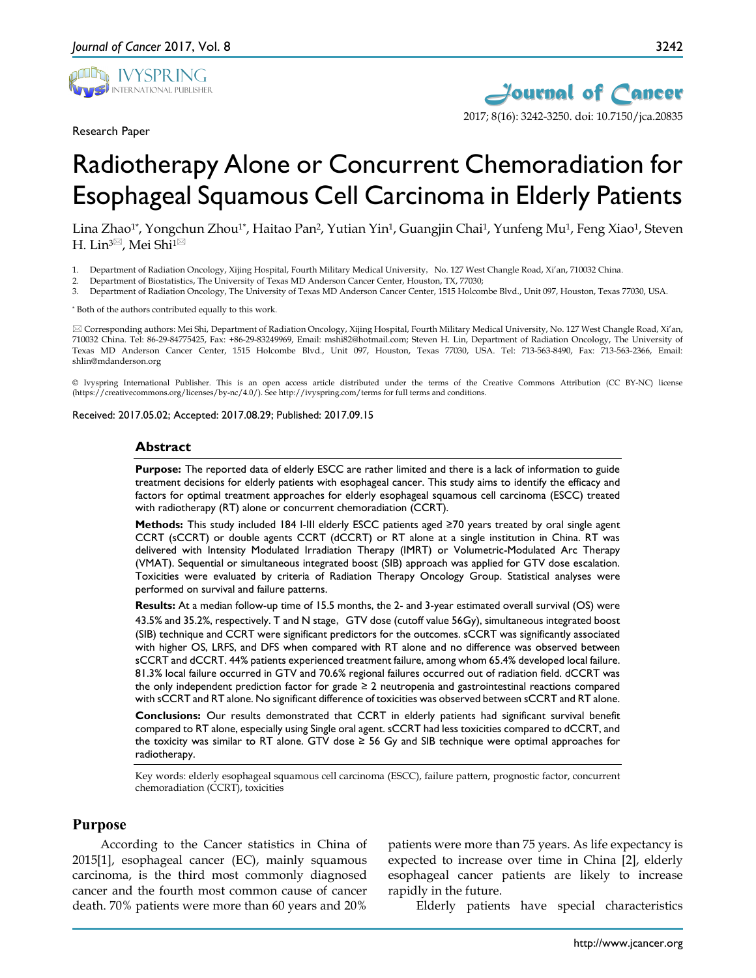

Research Paper



# Radiotherapy Alone or Concurrent Chemoradiation for Esophageal Squamous Cell Carcinoma in Elderly Patients

Lina Zhao<sup>1\*</sup>, Yongchun Zhou<sup>1\*</sup>, Haitao Pan<sup>2</sup>, Yutian Yin<sup>1</sup>, Guangjin Chai<sup>1</sup>, Yunfeng Mu<sup>1</sup>, Feng Xiao<sup>1</sup>, Steven H. Lin<sup>3⊠</sup>, Mei Shi<sup>1⊠</sup>

1. Department of Radiation Oncology, Xijing Hospital, Fourth Military Medical University, No. 127 West Changle Road, Xi'an, 710032 China.

2. Department of Biostatistics, The University of Texas MD Anderson Cancer Center, Houston, TX, 77030;

3. Department of Radiation Oncology, The University of Texas MD Anderson Cancer Center, 1515 Holcombe Blvd., Unit 097, Houston, Texas 77030, USA.

\* Both of the authors contributed equally to this work.

 Corresponding authors: Mei Shi, Department of Radiation Oncology, Xijing Hospital, Fourth Military Medical University, No. 127 West Changle Road, Xi'an, 710032 China. Tel: 86-29-84775425, Fax: +86-29-83249969, Email: mshi82@hotmail.com; Steven H. Lin, Department of Radiation Oncology, The University of Texas MD Anderson Cancer Center, 1515 Holcombe Blvd., Unit 097, Houston, Texas 77030, USA. Tel: 713-563-8490, Fax: 713-563-2366, Email: shlin@mdanderson.org

© Ivyspring International Publisher. This is an open access article distributed under the terms of the Creative Commons Attribution (CC BY-NC) license (https://creativecommons.org/licenses/by-nc/4.0/). See http://ivyspring.com/terms for full terms and conditions.

Received: 2017.05.02; Accepted: 2017.08.29; Published: 2017.09.15

#### **Abstract**

**Purpose:** The reported data of elderly ESCC are rather limited and there is a lack of information to guide treatment decisions for elderly patients with esophageal cancer. This study aims to identify the efficacy and factors for optimal treatment approaches for elderly esophageal squamous cell carcinoma (ESCC) treated with radiotherapy (RT) alone or concurrent chemoradiation (CCRT).

**Methods:** This study included 184 I-III elderly ESCC patients aged ≥70 years treated by oral single agent CCRT (sCCRT) or double agents CCRT (dCCRT) or RT alone at a single institution in China. RT was delivered with Intensity Modulated Irradiation Therapy (IMRT) or Volumetric-Modulated Arc Therapy (VMAT). Sequential or simultaneous integrated boost (SIB) approach was applied for GTV dose escalation. Toxicities were evaluated by criteria of Radiation Therapy Oncology Group. Statistical analyses were performed on survival and failure patterns.

**Results:** At a median follow-up time of 15.5 months, the 2- and 3-year estimated overall survival (OS) were 43.5% and 35.2%, respectively. T and N stage, GTV dose (cutoff value 56Gy), simultaneous integrated boost (SIB) technique and CCRT were significant predictors for the outcomes. sCCRT was significantly associated with higher OS, LRFS, and DFS when compared with RT alone and no difference was observed between sCCRT and dCCRT. 44% patients experienced treatment failure, among whom 65.4% developed local failure. 81.3% local failure occurred in GTV and 70.6% regional failures occurred out of radiation field. dCCRT was the only independent prediction factor for grade ≥ 2 neutropenia and gastrointestinal reactions compared with sCCRT and RT alone. No significant difference of toxicities was observed between sCCRT and RT alone.

**Conclusions:** Our results demonstrated that CCRT in elderly patients had significant survival benefit compared to RT alone, especially using Single oral agent. sCCRT had less toxicities compared to dCCRT, and the toxicity was similar to RT alone. GTV dose  $\geq$  56 Gy and SIB technique were optimal approaches for radiotherapy.

Key words: elderly esophageal squamous cell carcinoma (ESCC), failure pattern, prognostic factor, concurrent chemoradiation (CCRT), toxicities

#### **Purpose**

According to the Cancer statistics in China of 2015[1], esophageal cancer (EC), mainly squamous carcinoma, is the third most commonly diagnosed cancer and the fourth most common cause of cancer death. 70% patients were more than 60 years and 20%

patients were more than 75 years. As life expectancy is expected to increase over time in China [2], elderly esophageal cancer patients are likely to increase rapidly in the future.

Elderly patients have special characteristics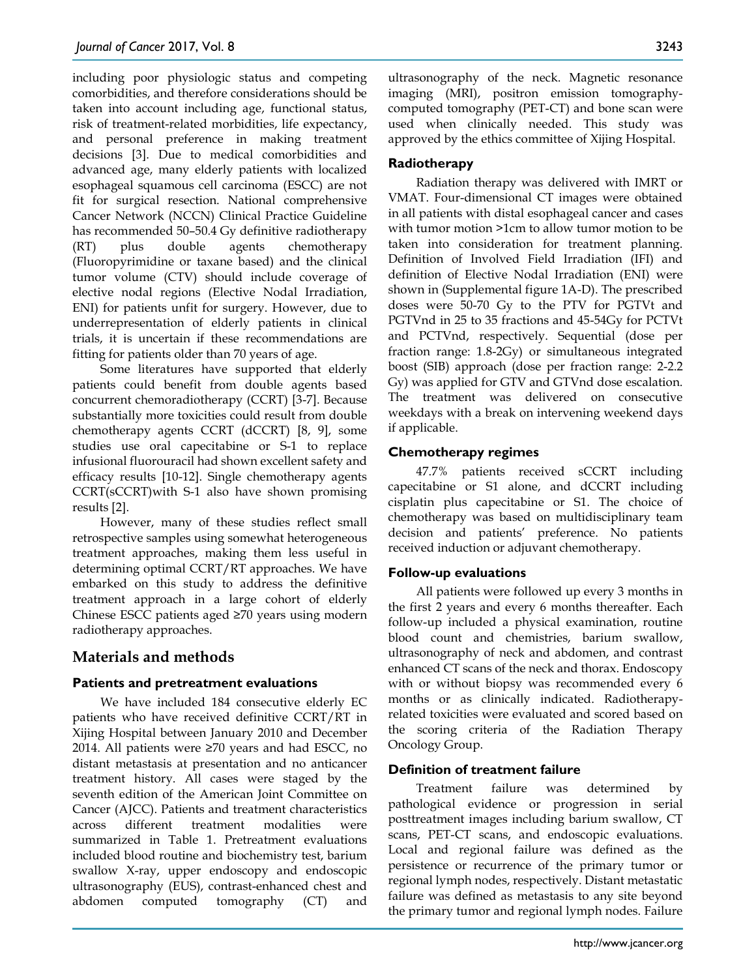including poor physiologic status and competing comorbidities, and therefore considerations should be taken into account including age, functional status, risk of treatment-related morbidities, life expectancy, and personal preference in making treatment decisions [3]. Due to medical comorbidities and advanced age, many elderly patients with localized esophageal squamous cell carcinoma (ESCC) are not fit for surgical resection. National comprehensive Cancer Network (NCCN) Clinical Practice Guideline has recommended 50–50.4 Gy definitive radiotherapy (RT) plus double agents chemotherapy (Fluoropyrimidine or taxane based) and the clinical tumor volume (CTV) should include coverage of elective nodal regions (Elective Nodal Irradiation, ENI) for patients unfit for surgery. However, due to underrepresentation of elderly patients in clinical trials, it is uncertain if these recommendations are fitting for patients older than 70 years of age.

Some literatures have supported that elderly patients could benefit from double agents based concurrent chemoradiotherapy (CCRT) [3-7]. Because substantially more toxicities could result from double chemotherapy agents CCRT (dCCRT) [8, 9], some studies use oral capecitabine or S-1 to replace infusional fluorouracil had shown excellent safety and efficacy results [10-12]. Single chemotherapy agents CCRT(sCCRT)with S-1 also have shown promising results [2].

However, many of these studies reflect small retrospective samples using somewhat heterogeneous treatment approaches, making them less useful in determining optimal CCRT/RT approaches. We have embarked on this study to address the definitive treatment approach in a large cohort of elderly Chinese ESCC patients aged ≥70 years using modern radiotherapy approaches.

# **Materials and methods**

# **Patients and pretreatment evaluations**

We have included 184 consecutive elderly EC patients who have received definitive CCRT/RT in Xijing Hospital between January 2010 and December 2014. All patients were ≥70 years and had ESCC, no distant metastasis at presentation and no anticancer treatment history. All cases were staged by the seventh edition of the American Joint Committee on Cancer (AJCC). Patients and treatment characteristics across different treatment modalities were summarized in Table 1. Pretreatment evaluations included blood routine and biochemistry test, barium swallow X-ray, upper endoscopy and endoscopic ultrasonography (EUS), contrast-enhanced chest and abdomen computed tomography (CT) and

ultrasonography of the neck. Magnetic resonance imaging (MRI), positron emission tomographycomputed tomography (PET-CT) and bone scan were used when clinically needed. This study was approved by the ethics committee of Xijing Hospital.

# **Radiotherapy**

Radiation therapy was delivered with IMRT or VMAT. Four-dimensional CT images were obtained in all patients with distal esophageal cancer and cases with tumor motion >1cm to allow tumor motion to be taken into consideration for treatment planning. Definition of Involved Field Irradiation (IFI) and definition of Elective Nodal Irradiation (ENI) were shown in (Supplemental figure 1A-D). The prescribed doses were 50-70 Gy to the PTV for PGTVt and PGTVnd in 25 to 35 fractions and 45-54Gy for PCTVt and PCTVnd, respectively. Sequential (dose per fraction range: 1.8-2Gy) or simultaneous integrated boost (SIB) approach (dose per fraction range: 2-2.2 Gy) was applied for GTV and GTVnd dose escalation. The treatment was delivered on consecutive weekdays with a break on intervening weekend days if applicable.

# **Chemotherapy regimes**

47.7% patients received sCCRT including capecitabine or S1 alone, and dCCRT including cisplatin plus capecitabine or S1. The choice of chemotherapy was based on multidisciplinary team decision and patients' preference. No patients received induction or adjuvant chemotherapy.

# **Follow-up evaluations**

All patients were followed up every 3 months in the first 2 years and every 6 months thereafter. Each follow-up included a physical examination, routine blood count and chemistries, barium swallow, ultrasonography of neck and abdomen, and contrast enhanced CT scans of the neck and thorax. Endoscopy with or without biopsy was recommended every 6 months or as clinically indicated. Radiotherapyrelated toxicities were evaluated and scored based on the scoring criteria of the Radiation Therapy Oncology Group.

# **Definition of treatment failure**

Treatment failure was determined by pathological evidence or progression in serial posttreatment images including barium swallow, CT scans, PET-CT scans, and endoscopic evaluations. Local and regional failure was defined as the persistence or recurrence of the primary tumor or regional lymph nodes, respectively. Distant metastatic failure was defined as metastasis to any site beyond the primary tumor and regional lymph nodes. Failure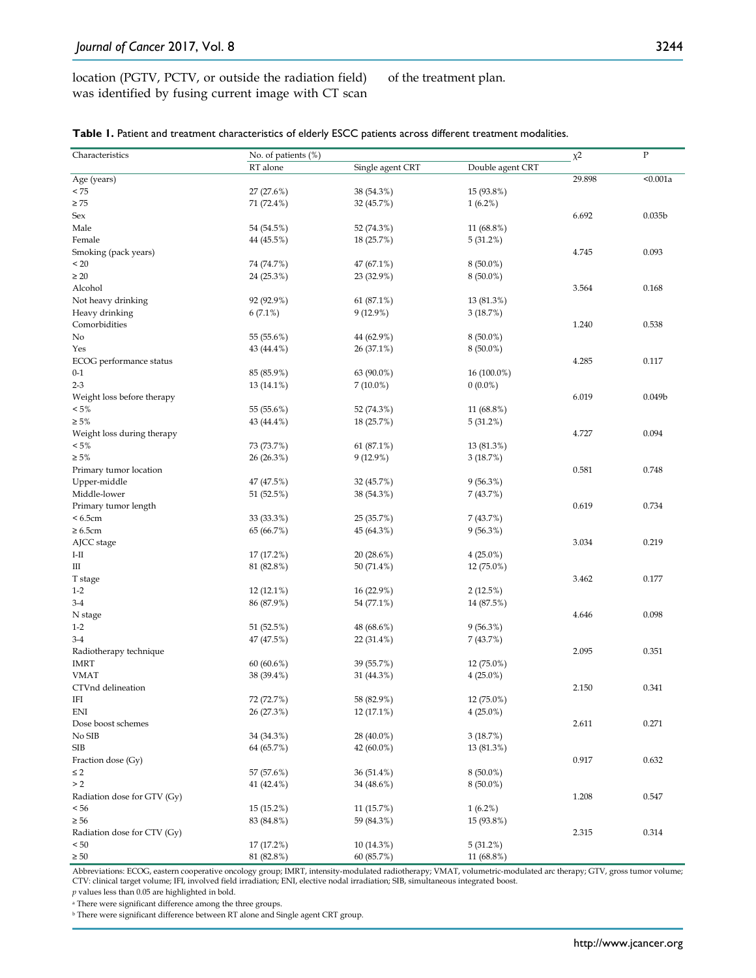location (PGTV, PCTV, or outside the radiation field) was identified by fusing current image with CT scan of the treatment plan.

| Characteristics             | No. of patients (%) |                  |                  | $x^2$  | ${\bf P}$          |
|-----------------------------|---------------------|------------------|------------------|--------|--------------------|
|                             | RT alone            | Single agent CRT | Double agent CRT |        |                    |
| Age (years)                 |                     |                  |                  | 29.898 | < 0.001a           |
| < 75                        | 27 (27.6%)          | 38 (54.3%)       | 15 (93.8%)       |        |                    |
| $\geq 75$                   | 71 (72.4%)          | 32 (45.7%)       | $1(6.2\%)$       |        |                    |
| Sex                         |                     |                  |                  | 6.692  | 0.035 <sub>b</sub> |
| Male                        | 54 (54.5%)          | 52 (74.3%)       | 11 (68.8%)       |        |                    |
| Female                      | 44 (45.5%)          | 18 (25.7%)       | 5(31.2%)         |        |                    |
| Smoking (pack years)        |                     |                  |                  | 4.745  | 0.093              |
| < 20                        | 74 (74.7%)          | 47 (67.1%)       | $8(50.0\%)$      |        |                    |
| $\geq 20$                   | 24 (25.3%)          | 23 (32.9%)       | $8(50.0\%)$      |        |                    |
| Alcohol                     |                     |                  |                  | 3.564  | 0.168              |
| Not heavy drinking          | 92 (92.9%)          | 61 (87.1%)       | 13 (81.3%)       |        |                    |
| Heavy drinking              | $6(7.1\%)$          | 9(12.9%)         | 3(18.7%)         |        |                    |
| Comorbidities               |                     |                  |                  | 1.240  | 0.538              |
| No                          | 55 (55.6%)          | 44 (62.9%)       | $8(50.0\%)$      |        |                    |
| Yes                         | 43 (44.4%)          | 26 (37.1%)       | $8(50.0\%)$      |        |                    |
| ECOG performance status     |                     |                  |                  | 4.285  | 0.117              |
| $0 - 1$                     | 85 (85.9%)          | 63 (90.0%)       | $16(100.0\%)$    |        |                    |
| $2 - 3$                     | 13 (14.1%)          | $7(10.0\%)$      | $0(0.0\%)$       |        |                    |
| Weight loss before therapy  |                     |                  |                  | 6.019  | 0.049 <sub>b</sub> |
| $< 5\%$                     | 55 (55.6%)          | 52 (74.3%)       | 11 (68.8%)       |        |                    |
| $\geq 5\%$                  | 43 (44.4%)          | 18 (25.7%)       | 5(31.2%)         |        |                    |
| Weight loss during therapy  |                     |                  |                  | 4.727  | 0.094              |
| $< 5\%$                     | 73 (73.7%)          | 61 (87.1%)       | 13 (81.3%)       |        |                    |
| $\geq 5\%$                  | 26 (26.3%)          | $9(12.9\%)$      | 3(18.7%)         |        |                    |
| Primary tumor location      |                     |                  |                  | 0.581  | 0.748              |
| Upper-middle                | 47 (47.5%)          | 32 (45.7%)       | $9(56.3\%)$      |        |                    |
| Middle-lower                | 51 (52.5%)          | 38 (54.3%)       | 7 (43.7%)        |        |                    |
| Primary tumor length        |                     |                  |                  | 0.619  | 0.734              |
| < 6.5cm                     | 33 (33.3%)          | 25 (35.7%)       | 7(43.7%)         |        |                    |
| $\geq 6.5$ cm               | 65 (66.7%)          | 45 (64.3%)       | 9(56.3%)         |        |                    |
| AJCC stage                  |                     |                  |                  | 3.034  | 0.219              |
| $I-II$                      | 17 (17.2%)          | 20 (28.6%)       | $4(25.0\%)$      |        |                    |
| Ш                           | 81 (82.8%)          | 50 (71.4%)       | 12 (75.0%)       |        |                    |
| T stage                     |                     |                  |                  | 3.462  | 0.177              |
| $1 - 2$                     | 12 (12.1%)          | 16 (22.9%)       | 2(12.5%)         |        |                    |
| $3-4$                       | 86 (87.9%)          | 54 (77.1%)       | 14 (87.5%)       |        |                    |
| N stage                     |                     |                  |                  | 4.646  | 0.098              |
| $1-2$                       | 51 (52.5%)          | 48 (68.6%)       | 9(56.3%)         |        |                    |
| $3 - 4$                     | 47 (47.5%)          | 22 (31.4%)       | 7 (43.7%)        |        |                    |
| Radiotherapy technique      |                     |                  |                  | 2.095  | 0.351              |
| <b>IMRT</b>                 | 60(60.6%)           | 39 (55.7%)       | 12 (75.0%)       |        |                    |
| <b>VMAT</b>                 | 38 (39.4%)          | 31 (44.3%)       | $4(25.0\%)$      |        |                    |
| CTVnd delineation           |                     |                  |                  | 2.150  | 0.341              |
| IFI                         | 72 (72.7%)          | 58 (82.9%)       | 12 (75.0%)       |        |                    |
| ENI                         | 26 (27.3%)          | 12 (17.1%)       | $4(25.0\%)$      |        |                    |
| Dose boost schemes          |                     |                  |                  | 2.611  | 0.271              |
| No SIB                      | 34 (34.3%)          | 28 (40.0%)       | 3(18.7%)         |        |                    |
| <b>SIB</b>                  | 64 (65.7%)          | 42 (60.0%)       | 13 (81.3%)       |        |                    |
| Fraction dose (Gy)          |                     |                  |                  | 0.917  | 0.632              |
| $\leq 2$                    | 57 (57.6%)          | 36 (51.4%)       | $8(50.0\%)$      |        |                    |
| > 2                         | 41 (42.4%)          | 34 (48.6%)       | $8(50.0\%)$      |        |                    |
| Radiation dose for GTV (Gy) |                     |                  |                  | 1.208  | 0.547              |
| < 56                        | 15 (15.2%)          | 11 (15.7%)       | $1(6.2\%)$       |        |                    |
| $\geq 56$                   | 83 (84.8%)          | 59 (84.3%)       | 15 (93.8%)       |        |                    |
| Radiation dose for CTV (Gy) |                     |                  |                  | 2.315  | 0.314              |
| < 50                        | 17 (17.2%)          | 10 (14.3%)       | 5(31.2%)         |        |                    |
| $\geq 50$                   | 81 (82.8%)          | 60 (85.7%)       | 11 (68.8%)       |        |                    |

Abbreviations: ECOG, eastern cooperative oncology group; IMRT, intensity-modulated radiotherapy; VMAT, volumetric-modulated arc therapy; GTV, gross tumor volume; CTV: clinical target volume; IFI, involved field irradiation; ENI, elective nodal irradiation; SIB, simultaneous integrated boost.

*p* values less than 0.05 are highlighted in bold.

<sup>a</sup> There were significant difference among the three groups.

 $^{\rm b}$  There were significant difference between RT alone and Single agent CRT group.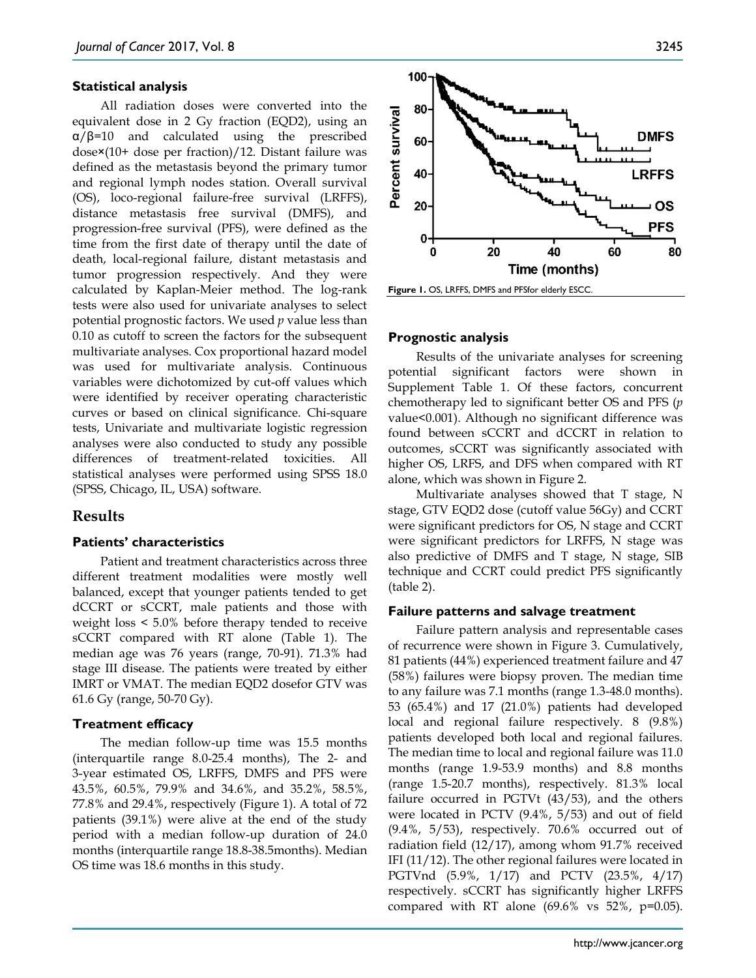#### **Statistical analysis**

All radiation doses were converted into the equivalent dose in 2 Gy fraction (EQD2), using an α/β=10 and calculated using the prescribed dose×(10+ dose per fraction)/12. Distant failure was defined as the metastasis beyond the primary tumor and regional lymph nodes station. Overall survival (OS), loco-regional failure-free survival (LRFFS), distance metastasis free survival (DMFS), and progression-free survival (PFS), were defined as the time from the first date of therapy until the date of death, local-regional failure, distant metastasis and tumor progression respectively. And they were calculated by Kaplan-Meier method. The log-rank tests were also used for univariate analyses to select potential prognostic factors. We used *p* value less than 0.10 as cutoff to screen the factors for the subsequent multivariate analyses. Cox proportional hazard model was used for multivariate analysis. Continuous variables were dichotomized by cut-off values which were identified by receiver operating characteristic curves or based on clinical significance. Chi-square tests, Univariate and multivariate logistic regression analyses were also conducted to study any possible differences of treatment-related toxicities. All statistical analyses were performed using SPSS 18.0 (SPSS, Chicago, IL, USA) software.

# **Results**

#### **Patients' characteristics**

Patient and treatment characteristics across three different treatment modalities were mostly well balanced, except that younger patients tended to get dCCRT or sCCRT, male patients and those with weight loss < 5.0% before therapy tended to receive sCCRT compared with RT alone (Table 1). The median age was 76 years (range, 70-91). 71.3% had stage III disease. The patients were treated by either IMRT or VMAT. The median EQD2 dosefor GTV was 61.6 Gy (range, 50-70 Gy).

#### **Treatment efficacy**

The median follow-up time was 15.5 months (interquartile range 8.0-25.4 months), The 2- and 3-year estimated OS, LRFFS, DMFS and PFS were 43.5%, 60.5%, 79.9% and 34.6%, and 35.2%, 58.5%, 77.8% and 29.4%, respectively (Figure 1). A total of 72 patients (39.1%) were alive at the end of the study period with a median follow-up duration of 24.0 months (interquartile range 18.8-38.5months). Median OS time was 18.6 months in this study.



#### **Prognostic analysis**

Results of the univariate analyses for screening potential significant factors were shown in Supplement Table 1. Of these factors, concurrent chemotherapy led to significant better OS and PFS (*p* value<0.001). Although no significant difference was found between sCCRT and dCCRT in relation to outcomes, sCCRT was significantly associated with higher OS, LRFS, and DFS when compared with RT alone, which was shown in Figure 2.

Multivariate analyses showed that T stage, N stage, GTV EQD2 dose (cutoff value 56Gy) and CCRT were significant predictors for OS, N stage and CCRT were significant predictors for LRFFS, N stage was also predictive of DMFS and T stage, N stage, SIB technique and CCRT could predict PFS significantly (table 2).

#### **Failure patterns and salvage treatment**

Failure pattern analysis and representable cases of recurrence were shown in Figure 3. Cumulatively, 81 patients (44%) experienced treatment failure and 47 (58%) failures were biopsy proven. The median time to any failure was 7.1 months (range 1.3-48.0 months). 53 (65.4%) and 17 (21.0%) patients had developed local and regional failure respectively. 8 (9.8%) patients developed both local and regional failures. The median time to local and regional failure was 11.0 months (range 1.9-53.9 months) and 8.8 months (range 1.5-20.7 months), respectively. 81.3% local failure occurred in PGTVt (43/53), and the others were located in PCTV (9.4%, 5/53) and out of field (9.4%, 5/53), respectively. 70.6% occurred out of radiation field (12/17), among whom 91.7% received IFI (11/12). The other regional failures were located in PGTVnd (5.9%, 1/17) and PCTV (23.5%, 4/17) respectively. sCCRT has significantly higher LRFFS compared with RT alone  $(69.6\% \text{ vs } 52\%, \text{ p=0.05}).$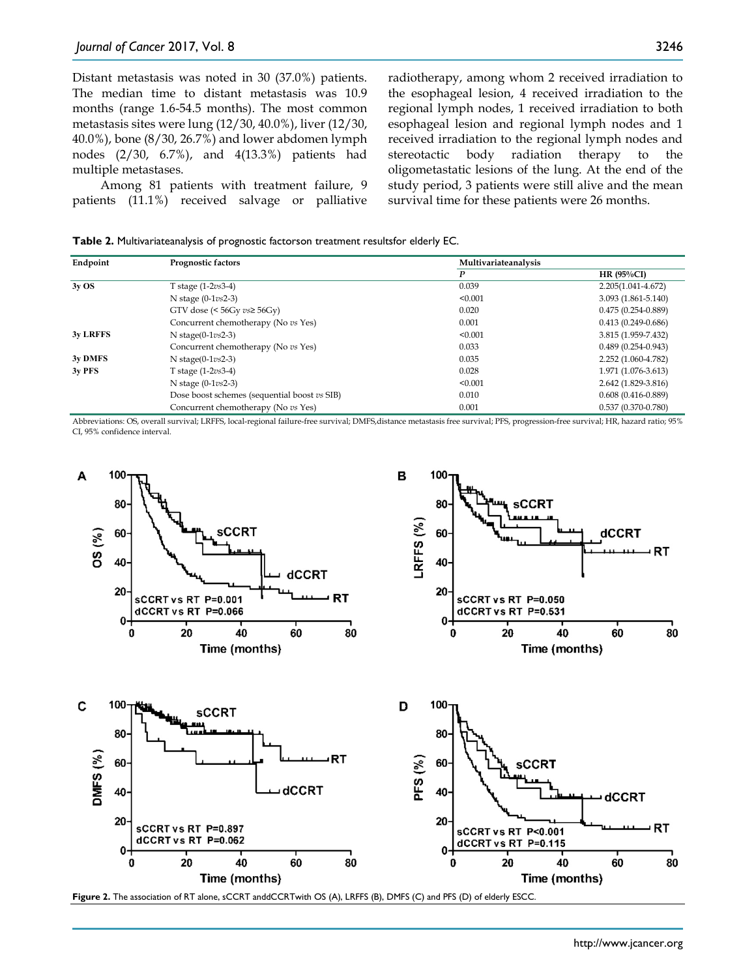Distant metastasis was noted in 30 (37.0%) patients. The median time to distant metastasis was 10.9 months (range 1.6-54.5 months). The most common metastasis sites were lung (12/30, 40.0%), liver (12/30, 40.0%), bone (8/30, 26.7%) and lower abdomen lymph nodes (2/30, 6.7%), and 4(13.3%) patients had multiple metastases.

Among 81 patients with treatment failure, 9 patients (11.1%) received salvage or palliative radiotherapy, among whom 2 received irradiation to the esophageal lesion, 4 received irradiation to the regional lymph nodes, 1 received irradiation to both esophageal lesion and regional lymph nodes and 1 received irradiation to the regional lymph nodes and stereotactic body radiation therapy to the oligometastatic lesions of the lung. At the end of the study period, 3 patients were still alive and the mean survival time for these patients were 26 months.

**Table 2.** Multivariateanalysis of prognostic factorson treatment resultsfor elderly EC.

| Endpoint        | Prognostic factors                           | Multivariateanalysis |                        |  |
|-----------------|----------------------------------------------|----------------------|------------------------|--|
|                 |                                              | P                    | HR $(95\%CI)$          |  |
| 3yOS            | T stage (1-2vs3-4)                           | 0.039                | 2.205(1.041-4.672)     |  |
|                 | N stage $(0-1\nu s2-3)$                      | < 0.001              | $3.093(1.861 - 5.140)$ |  |
|                 | GTV dose (< $56Gy$ $vs \geq 56Gy$ )          | 0.020                | $0.475(0.254 - 0.889)$ |  |
|                 | Concurrent chemotherapy (No vs Yes)          | 0.001                | $0.413(0.249 - 0.686)$ |  |
| <b>3y LRFFS</b> | N stage $(0-1\nu s2-3)$                      | < 0.001              | 3.815 (1.959-7.432)    |  |
|                 | Concurrent chemotherapy (No vs Yes)          | 0.033                | $0.489(0.254 - 0.943)$ |  |
| 3y DMFS         | N stage( $0-1\nu s2-3$ )                     | 0.035                | 2.252 (1.060-4.782)    |  |
| 3v PFS          | T stage (1-2vs3-4)                           | 0.028                | 1.971 (1.076-3.613)    |  |
|                 | N stage $(0-1\nu s2-3)$                      | < 0.001              | 2.642 (1.829-3.816)    |  |
|                 | Dose boost schemes (sequential boost vs SIB) | 0.010                | $0.608(0.416 - 0.889)$ |  |
|                 | Concurrent chemotherapy (No vs Yes)          | 0.001                | $0.537(0.370 - 0.780)$ |  |

Abbreviations: OS, overall survival; LRFFS, local-regional failure-free survival; DMFS,distance metastasis free survival; PFS, progression-free survival; HR, hazard ratio; 95% CI, 95% confidence interval.

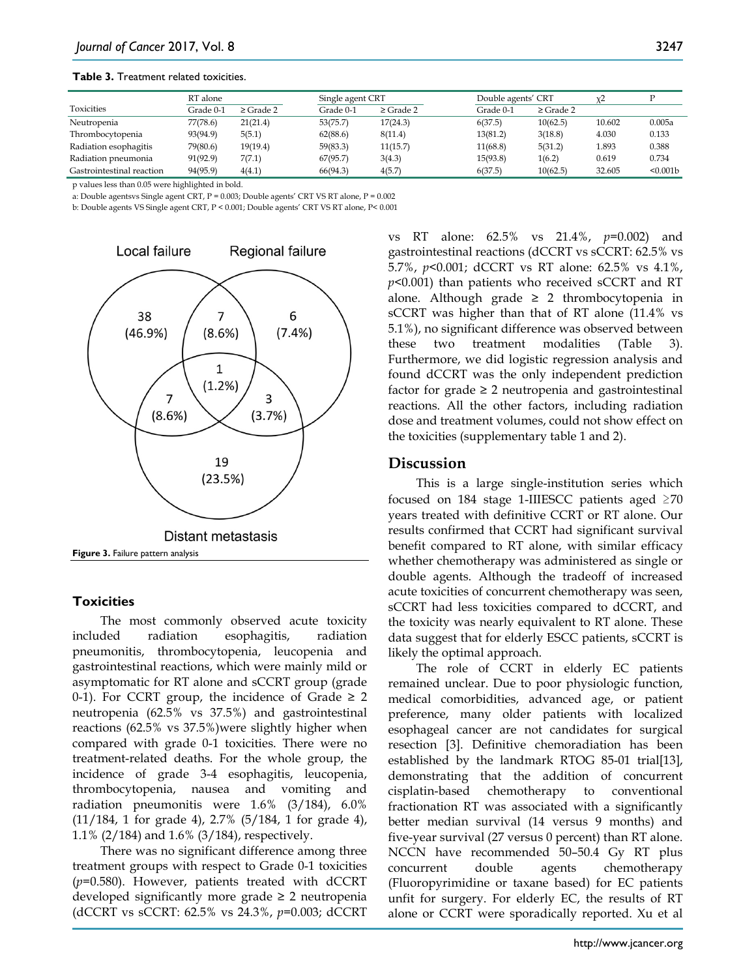#### **Table 3.** Treatment related toxicities.

|                           | RT alone  |                | Single agent CRT |                | Double agents' CRT |                | $x^2$  |          |
|---------------------------|-----------|----------------|------------------|----------------|--------------------|----------------|--------|----------|
| <b>Toxicities</b>         | Grade 0-1 | $\geq$ Grade 2 | Grade 0-1        | $\geq$ Grade 2 | Grade 0-1          | $\geq$ Grade 2 |        |          |
| Neutropenia               | 77(78.6)  | 21(21.4)       | 53(75.7)         | 17(24.3)       | 6(37.5)            | 10(62.5)       | 10.602 | 0.005a   |
| Thrombocytopenia          | 93(94.9)  | 5(5.1)         | 62(88.6)         | 8(11.4)        | 13(81.2)           | 3(18.8)        | 4.030  | 0.133    |
| Radiation esophagitis     | 79(80.6)  | 19(19.4)       | 59(83.3)         | 11(15.7)       | 11(68.8)           | 5(31.2)        | 1.893  | 0.388    |
| Radiation pneumonia       | 91(92.9)  | 7(7.1)         | 67(95.7)         | 3(4.3)         | 15(93.8)           | 1(6.2)         | 0.619  | 0.734    |
| Gastrointestinal reaction | 94(95.9)  | 4(4.1)         | 66(94.3)         | 4(5.7)         | 6(37.5)            | 10(62.5)       | 32.605 | < 0.001b |

p values less than 0.05 were highlighted in bold.

a: Double agentsvs Single agent CRT, P = 0.003; Double agents' CRT VS RT alone, P = 0.002

b: Double agents VS Single agent CRT, P < 0.001; Double agents' CRT VS RT alone, P< 0.001



#### **Toxicities**

The most commonly observed acute toxicity included radiation esophagitis, radiation pneumonitis, thrombocytopenia, leucopenia and gastrointestinal reactions, which were mainly mild or asymptomatic for RT alone and sCCRT group (grade 0-1). For CCRT group, the incidence of Grade  $\geq 2$ neutropenia (62.5% vs 37.5%) and gastrointestinal reactions (62.5% vs 37.5%)were slightly higher when compared with grade 0-1 toxicities. There were no treatment-related deaths. For the whole group, the incidence of grade 3-4 esophagitis, leucopenia, thrombocytopenia, nausea and vomiting and radiation pneumonitis were 1.6% (3/184), 6.0% (11/184, 1 for grade 4), 2.7% (5/184, 1 for grade 4), 1.1% (2/184) and 1.6% (3/184), respectively.

There was no significant difference among three treatment groups with respect to Grade 0-1 toxicities (*p*=0.580). However, patients treated with dCCRT developed significantly more grade  $\geq 2$  neutropenia (dCCRT vs sCCRT: 62.5% vs 24.3%, *p*=0.003; dCCRT vs RT alone: 62.5% vs 21.4%, *p*=0.002) and gastrointestinal reactions (dCCRT vs sCCRT: 62.5% vs 5.7%, *p*<0.001; dCCRT vs RT alone: 62.5% vs 4.1%, *p*<0.001) than patients who received sCCRT and RT alone. Although grade  $\geq$  2 thrombocytopenia in sCCRT was higher than that of RT alone (11.4% vs 5.1%), no significant difference was observed between these two treatment modalities (Table 3). Furthermore, we did logistic regression analysis and found dCCRT was the only independent prediction factor for grade  $\geq 2$  neutropenia and gastrointestinal reactions. All the other factors, including radiation dose and treatment volumes, could not show effect on the toxicities (supplementary table 1 and 2).

#### **Discussion**

This is a large single-institution series which focused on 184 stage 1-IIIESCC patients aged  $\geq 70$ years treated with definitive CCRT or RT alone. Our results confirmed that CCRT had significant survival benefit compared to RT alone, with similar efficacy whether chemotherapy was administered as single or double agents. Although the tradeoff of increased acute toxicities of concurrent chemotherapy was seen, sCCRT had less toxicities compared to dCCRT, and the toxicity was nearly equivalent to RT alone. These data suggest that for elderly ESCC patients, sCCRT is likely the optimal approach.

The role of CCRT in elderly EC patients remained unclear. Due to poor physiologic function, medical comorbidities, advanced age, or patient preference, many older patients with localized esophageal cancer are not candidates for surgical resection [3]. Definitive chemoradiation has been established by the landmark RTOG 85-01 trial[13], demonstrating that the addition of concurrent cisplatin-based chemotherapy to conventional fractionation RT was associated with a significantly better median survival (14 versus 9 months) and five-year survival (27 versus 0 percent) than RT alone. NCCN have recommended 50–50.4 Gy RT plus concurrent double agents chemotherapy (Fluoropyrimidine or taxane based) for EC patients unfit for surgery. For elderly EC, the results of RT alone or CCRT were sporadically reported. Xu et al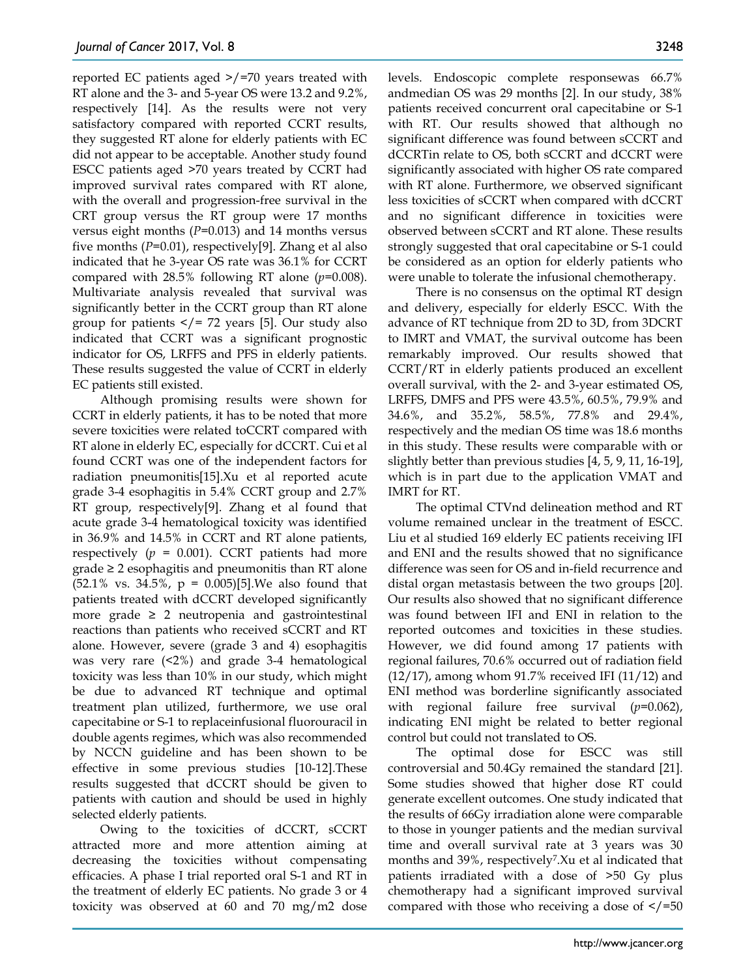reported EC patients aged >/=70 years treated with RT alone and the 3- and 5-year OS were 13.2 and 9.2%, respectively [14]. As the results were not very satisfactory compared with reported CCRT results, they suggested RT alone for elderly patients with EC did not appear to be acceptable. Another study found ESCC patients aged >70 years treated by CCRT had improved survival rates compared with RT alone, with the overall and progression-free survival in the CRT group versus the RT group were 17 months versus eight months (*P*=0.013) and 14 months versus five months (*P*=0.01), respectively[9]. Zhang et al also indicated that he 3-year OS rate was 36.1% for CCRT compared with 28.5% following RT alone (*p*=0.008). Multivariate analysis revealed that survival was significantly better in the CCRT group than RT alone group for patients  $\lt/$  = 72 years [5]. Our study also indicated that CCRT was a significant prognostic indicator for OS, LRFFS and PFS in elderly patients. These results suggested the value of CCRT in elderly EC patients still existed.

Although promising results were shown for CCRT in elderly patients, it has to be noted that more severe toxicities were related toCCRT compared with RT alone in elderly EC, especially for dCCRT. Cui et al found CCRT was one of the independent factors for radiation pneumonitis[15].Xu et al reported acute grade 3-4 esophagitis in 5.4% CCRT group and 2.7% RT group, respectively[9]. Zhang et al found that acute grade 3-4 hematological toxicity was identified in 36.9% and 14.5% in CCRT and RT alone patients, respectively  $(p = 0.001)$ . CCRT patients had more  $grade \geq 2$  esophagitis and pneumonitis than RT alone  $(52.1\% \text{ vs. } 34.5\%, \text{ p} = 0.005)$ [5]. We also found that patients treated with dCCRT developed significantly more grade  $\geq$  2 neutropenia and gastrointestinal reactions than patients who received sCCRT and RT alone. However, severe (grade 3 and 4) esophagitis was very rare (<2%) and grade 3-4 hematological toxicity was less than 10% in our study, which might be due to advanced RT technique and optimal treatment plan utilized, furthermore, we use oral capecitabine or S-1 to replaceinfusional fluorouracil in double agents regimes, which was also recommended by NCCN guideline and has been shown to be effective in some previous studies [10-12].These results suggested that dCCRT should be given to patients with caution and should be used in highly selected elderly patients.

Owing to the toxicities of dCCRT, sCCRT attracted more and more attention aiming at decreasing the toxicities without compensating efficacies. A phase I trial reported oral S-1 and RT in the treatment of elderly EC patients. No grade 3 or 4 toxicity was observed at 60 and 70 mg/m2 dose levels. Endoscopic complete responsewas 66.7% andmedian OS was 29 months [2]. In our study, 38% patients received concurrent oral capecitabine or S-1 with RT. Our results showed that although no significant difference was found between sCCRT and dCCRTin relate to OS, both sCCRT and dCCRT were significantly associated with higher OS rate compared with RT alone. Furthermore, we observed significant less toxicities of sCCRT when compared with dCCRT and no significant difference in toxicities were observed between sCCRT and RT alone. These results strongly suggested that oral capecitabine or S-1 could be considered as an option for elderly patients who were unable to tolerate the infusional chemotherapy.

There is no consensus on the optimal RT design and delivery, especially for elderly ESCC. With the advance of RT technique from 2D to 3D, from 3DCRT to IMRT and VMAT, the survival outcome has been remarkably improved. Our results showed that CCRT/RT in elderly patients produced an excellent overall survival, with the 2- and 3-year estimated OS, LRFFS, DMFS and PFS were 43.5%, 60.5%, 79.9% and 34.6%, and 35.2%, 58.5%, 77.8% and 29.4%, respectively and the median OS time was 18.6 months in this study. These results were comparable with or slightly better than previous studies [4, 5, 9, 11, 16-19], which is in part due to the application VMAT and IMRT for RT.

The optimal CTVnd delineation method and RT volume remained unclear in the treatment of ESCC. Liu et al studied 169 elderly EC patients receiving IFI and ENI and the results showed that no significance difference was seen for OS and in-field recurrence and distal organ metastasis between the two groups [20]. Our results also showed that no significant difference was found between IFI and ENI in relation to the reported outcomes and toxicities in these studies. However, we did found among 17 patients with regional failures, 70.6% occurred out of radiation field (12/17), among whom 91.7% received IFI (11/12) and ENI method was borderline significantly associated with regional failure free survival (*p*=0.062), indicating ENI might be related to better regional control but could not translated to OS.

The optimal dose for ESCC was still controversial and 50.4Gy remained the standard [21]. Some studies showed that higher dose RT could generate excellent outcomes. One study indicated that the results of 66Gy irradiation alone were comparable to those in younger patients and the median survival time and overall survival rate at 3 years was 30 months and 39%, respectively<sup>7</sup>.Xu et al indicated that patients irradiated with a dose of >50 Gy plus chemotherapy had a significant improved survival compared with those who receiving a dose of  $\le$ /=50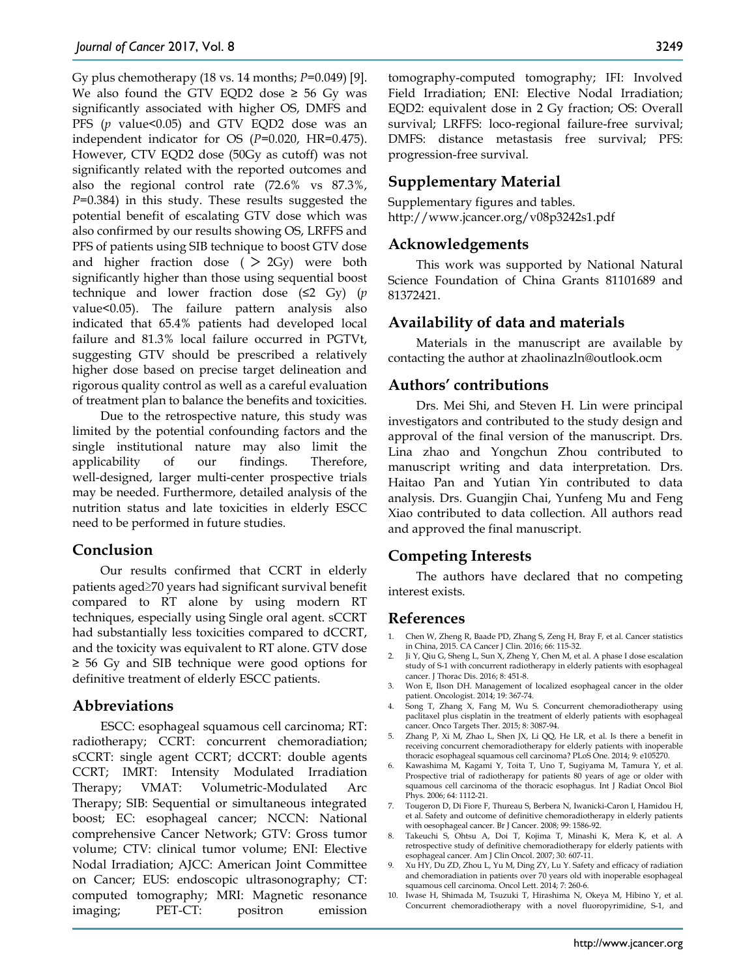Gy plus chemotherapy (18 vs. 14 months; *P*=0.049) [9]. We also found the GTV EQD2 dose  $\geq$  56 Gy was significantly associated with higher OS, DMFS and PFS (*p* value<0.05) and GTV EQD2 dose was an independent indicator for OS (*P*=0.020, HR=0.475). However, CTV EQD2 dose (50Gy as cutoff) was not significantly related with the reported outcomes and also the regional control rate (72.6% vs 87.3%, *P*=0.384) in this study. These results suggested the potential benefit of escalating GTV dose which was also confirmed by our results showing OS, LRFFS and PFS of patients using SIB technique to boost GTV dose and higher fraction dose ( $> 2Gy$ ) were both significantly higher than those using sequential boost technique and lower fraction dose (≤2 Gy) (*p* value<0.05). The failure pattern analysis also indicated that 65.4% patients had developed local failure and 81.3% local failure occurred in PGTVt, suggesting GTV should be prescribed a relatively higher dose based on precise target delineation and rigorous quality control as well as a careful evaluation of treatment plan to balance the benefits and toxicities.

Due to the retrospective nature, this study was limited by the potential confounding factors and the single institutional nature may also limit the applicability of our findings. Therefore, well-designed, larger multi-center prospective trials may be needed. Furthermore, detailed analysis of the nutrition status and late toxicities in elderly ESCC need to be performed in future studies.

# **Conclusion**

Our results confirmed that CCRT in elderly patients aged≥70 years had significant survival benefit compared to RT alone by using modern RT techniques, especially using Single oral agent. sCCRT had substantially less toxicities compared to dCCRT, and the toxicity was equivalent to RT alone. GTV dose ≥ 56 Gy and SIB technique were good options for definitive treatment of elderly ESCC patients.

# **Abbreviations**

ESCC: esophageal squamous cell carcinoma; RT: radiotherapy; CCRT: concurrent chemoradiation; sCCRT: single agent CCRT; dCCRT: double agents CCRT; IMRT: Intensity Modulated Irradiation Therapy; VMAT: Volumetric-Modulated Arc Therapy; SIB: Sequential or simultaneous integrated boost; EC: esophageal cancer; NCCN: National comprehensive Cancer Network; GTV: Gross tumor volume; CTV: clinical tumor volume; ENI: Elective Nodal Irradiation; AJCC: American Joint Committee on Cancer; EUS: endoscopic ultrasonography; CT: computed tomography; MRI: Magnetic resonance imaging; PET-CT: positron emission tomography-computed tomography; IFI: Involved Field Irradiation; ENI: Elective Nodal Irradiation; EQD2: equivalent dose in 2 Gy fraction; OS: Overall survival; LRFFS: loco-regional failure-free survival; DMFS: distance metastasis free survival; PFS: progression-free survival.

# **Supplementary Material**

Supplementary figures and tables. http://www.jcancer.org/v08p3242s1.pdf

# **Acknowledgements**

This work was supported by National Natural Science Foundation of China Grants 81101689 and 81372421.

# **Availability of data and materials**

Materials in the manuscript are available by contacting the author at zhaolinazln@outlook.ocm

# **Authors' contributions**

Drs. Mei Shi, and Steven H. Lin were principal investigators and contributed to the study design and approval of the final version of the manuscript. Drs. Lina zhao and Yongchun Zhou contributed to manuscript writing and data interpretation. Drs. Haitao Pan and Yutian Yin contributed to data analysis. Drs. Guangjin Chai, Yunfeng Mu and Feng Xiao contributed to data collection. All authors read and approved the final manuscript.

# **Competing Interests**

The authors have declared that no competing interest exists.

# **References**

- 1. Chen W, Zheng R, Baade PD, Zhang S, Zeng H, Bray F, et al. Cancer statistics in China, 2015. CA Cancer J Clin. 2016; 66: 115-32.
- 2. Ji Y, Qiu G, Sheng L, Sun X, Zheng Y, Chen M, et al. A phase I dose escalation study of S-1 with concurrent radiotherapy in elderly patients with esophageal cancer. J Thorac Dis. 2016; 8: 451-8.
- 3. Won E, Ilson DH. Management of localized esophageal cancer in the older patient. Oncologist. 2014; 19: 367-74.
- 4. Song T, Zhang X, Fang M, Wu S. Concurrent chemoradiotherapy using paclitaxel plus cisplatin in the treatment of elderly patients with esophageal cancer. Onco Targets Ther. 2015; 8: 3087-94.
- 5. Zhang P, Xi M, Zhao L, Shen JX, Li QQ, He LR, et al. Is there a benefit in receiving concurrent chemoradiotherapy for elderly patients with inoperable thoracic esophageal squamous cell carcinoma? PLoS One. 2014; 9: e105270.
- 6. Kawashima M, Kagami Y, Toita T, Uno T, Sugiyama M, Tamura Y, et al. Prospective trial of radiotherapy for patients 80 years of age or older with squamous cell carcinoma of the thoracic esophagus. Int J Radiat Oncol Biol Phys. 2006; 64: 1112-21.
- 7. Tougeron D, Di Fiore F, Thureau S, Berbera N, Iwanicki-Caron I, Hamidou H, et al. Safety and outcome of definitive chemoradiotherapy in elderly patients with oesophageal cancer. Br J Cancer. 2008; 99: 1586-92.
- 8. Takeuchi S, Ohtsu A, Doi T, Kojima T, Minashi K, Mera K, et al. A retrospective study of definitive chemoradiotherapy for elderly patients with esophageal cancer. Am J Clin Oncol. 2007; 30: 607-11.
- 9. Xu HY, Du ZD, Zhou L, Yu M, Ding ZY, Lu Y. Safety and efficacy of radiation and chemoradiation in patients over 70 years old with inoperable esophageal squamous cell carcinoma. Oncol Lett. 2014; 7: 260-6.
- 10. Iwase H, Shimada M, Tsuzuki T, Hirashima N, Okeya M, Hibino Y, et al. Concurrent chemoradiotherapy with a novel fluoropyrimidine, S-1, and